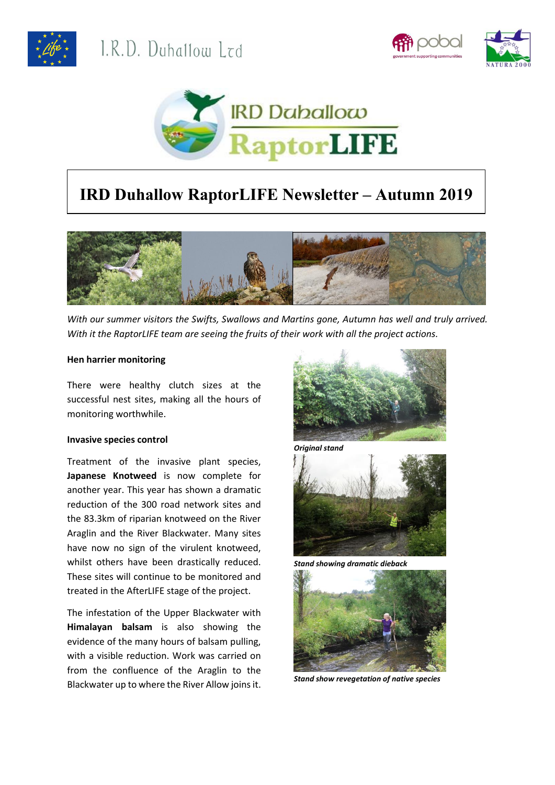





# **IRD Duhallow RaptorLIFE Newsletter – Autumn 2019**



*With our summer visitors the Swifts, Swallows and Martins gone, Autumn has well and truly arrived. With it the RaptorLIFE team are seeing the fruits of their work with all the project actions.* 

# **Hen harrier monitoring**

There were healthy clutch sizes at the successful nest sites, making all the hours of monitoring worthwhile.

#### **Invasive species control**

Treatment of the invasive plant species, **Japanese Knotweed** is now complete for another year. This year has shown a dramatic reduction of the 300 road network sites and the 83.3km of riparian knotweed on the River Araglin and the River Blackwater. Many sites have now no sign of the virulent knotweed, whilst others have been drastically reduced. These sites will continue to be monitored and treated in the AfterLIFE stage of the project.

The infestation of the Upper Blackwater with **Himalayan balsam** is also showing the evidence of the many hours of balsam pulling, with a visible reduction. Work was carried on from the confluence of the Araglin to the Blackwater up to where the River Allow joins it.





*Stand showing dramatic dieback*



*Stand show revegetation of native species*